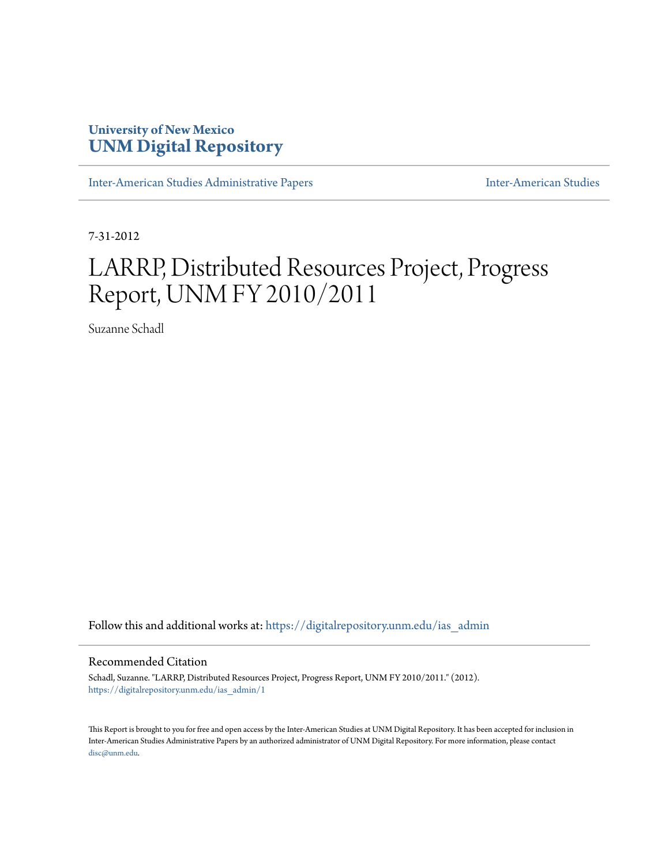# **University of New Mexico [UNM Digital Repository](https://digitalrepository.unm.edu?utm_source=digitalrepository.unm.edu%2Fias_admin%2F1&utm_medium=PDF&utm_campaign=PDFCoverPages)**

[Inter-American Studies Administrative Papers](https://digitalrepository.unm.edu/ias_admin?utm_source=digitalrepository.unm.edu%2Fias_admin%2F1&utm_medium=PDF&utm_campaign=PDFCoverPages) **[Inter-American Studies](https://digitalrepository.unm.edu/ias?utm_source=digitalrepository.unm.edu%2Fias_admin%2F1&utm_medium=PDF&utm_campaign=PDFCoverPages)** Inter-American Studies

7-31-2012

# LARRP, Distributed Resources Project, Progress Report, UNM FY 2010/2011

Suzanne Schadl

Follow this and additional works at: [https://digitalrepository.unm.edu/ias\\_admin](https://digitalrepository.unm.edu/ias_admin?utm_source=digitalrepository.unm.edu%2Fias_admin%2F1&utm_medium=PDF&utm_campaign=PDFCoverPages)

#### Recommended Citation

Schadl, Suzanne. "LARRP, Distributed Resources Project, Progress Report, UNM FY 2010/2011." (2012). [https://digitalrepository.unm.edu/ias\\_admin/1](https://digitalrepository.unm.edu/ias_admin/1?utm_source=digitalrepository.unm.edu%2Fias_admin%2F1&utm_medium=PDF&utm_campaign=PDFCoverPages)

This Report is brought to you for free and open access by the Inter-American Studies at UNM Digital Repository. It has been accepted for inclusion in Inter-American Studies Administrative Papers by an authorized administrator of UNM Digital Repository. For more information, please contact [disc@unm.edu](mailto:disc@unm.edu).